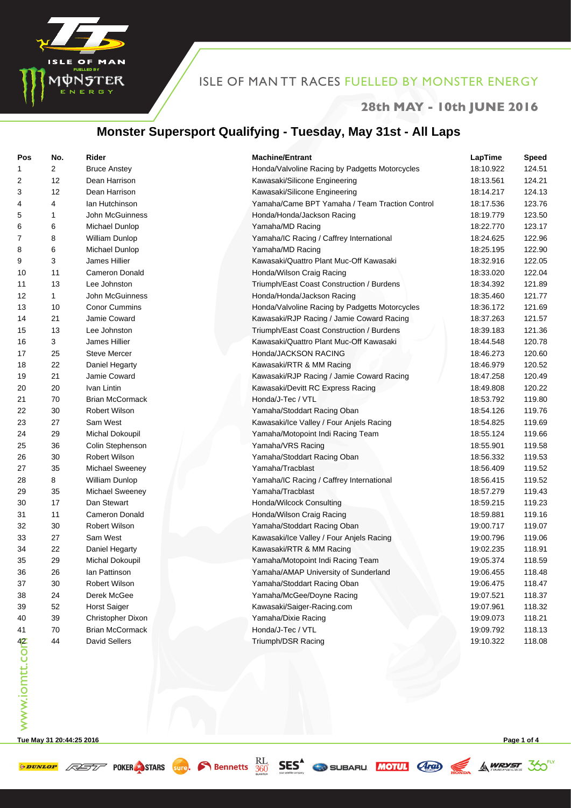

#### **28th MAY - 10th JUNE 2016**

## **Monster Supersport Qualifying - Tuesday, May 31st - All Laps**

| Pos           | No.            | Rider                  | <b>Machine/Entrant</b>                         | LapTime   | <b>Speed</b> |
|---------------|----------------|------------------------|------------------------------------------------|-----------|--------------|
| 1             | $\overline{2}$ | <b>Bruce Anstey</b>    | Honda/Valvoline Racing by Padgetts Motorcycles | 18:10.922 | 124.51       |
| 2             | 12             | Dean Harrison          | Kawasaki/Silicone Engineering                  | 18:13.561 | 124.21       |
| 3             | 12             | Dean Harrison          | Kawasaki/Silicone Engineering                  | 18:14.217 | 124.13       |
| 4             | 4              | Ian Hutchinson         | Yamaha/Came BPT Yamaha / Team Traction Control | 18:17.536 | 123.76       |
| 5             | 1              | John McGuinness        | Honda/Honda/Jackson Racing                     | 18:19.779 | 123.50       |
| 6             | 6              | Michael Dunlop         | Yamaha/MD Racing                               | 18:22.770 | 123.17       |
| 7             | 8              | <b>William Dunlop</b>  | Yamaha/IC Racing / Caffrey International       | 18:24.625 | 122.96       |
| 8             | 6              | Michael Dunlop         | Yamaha/MD Racing                               | 18:25.195 | 122.90       |
| 9             | 3              | James Hillier          | Kawasaki/Quattro Plant Muc-Off Kawasaki        | 18:32.916 | 122.05       |
| 10            | 11             | <b>Cameron Donald</b>  | Honda/Wilson Craig Racing                      | 18:33.020 | 122.04       |
| 11            | 13             | Lee Johnston           | Triumph/East Coast Construction / Burdens      | 18:34.392 | 121.89       |
| 12            | $\mathbf{1}$   | John McGuinness        | Honda/Honda/Jackson Racing                     | 18:35.460 | 121.77       |
| 13            | 10             | <b>Conor Cummins</b>   | Honda/Valvoline Racing by Padgetts Motorcycles | 18:36.172 | 121.69       |
| 14            | 21             | Jamie Coward           | Kawasaki/RJP Racing / Jamie Coward Racing      | 18:37.263 | 121.57       |
| 15            | 13             | Lee Johnston           | Triumph/East Coast Construction / Burdens      | 18:39.183 | 121.36       |
| 16            | 3              | James Hillier          | Kawasaki/Quattro Plant Muc-Off Kawasaki        | 18:44.548 | 120.78       |
| 17            | 25             | <b>Steve Mercer</b>    | Honda/JACKSON RACING                           | 18:46.273 | 120.60       |
| 18            | 22             | Daniel Hegarty         | Kawasaki/RTR & MM Racing                       | 18:46.979 | 120.52       |
| 19            | 21             | Jamie Coward           | Kawasaki/RJP Racing / Jamie Coward Racing      | 18:47.258 | 120.49       |
| 20            | 20             | Ivan Lintin            | Kawasaki/Devitt RC Express Racing              | 18:49.808 | 120.22       |
| 21            | 70             | <b>Brian McCormack</b> | Honda/J-Tec / VTL                              | 18:53.792 | 119.80       |
| 22            | 30             | Robert Wilson          | Yamaha/Stoddart Racing Oban                    | 18:54.126 | 119.76       |
| 23            | 27             | Sam West               | Kawasaki/Ice Valley / Four Anjels Racing       | 18:54.825 | 119.69       |
| 24            | 29             | Michal Dokoupil        | Yamaha/Motopoint Indi Racing Team              | 18:55.124 | 119.66       |
| 25            | 36             | Colin Stephenson       | Yamaha/VRS Racing                              | 18:55.901 | 119.58       |
| 26            | 30             | Robert Wilson          | Yamaha/Stoddart Racing Oban                    | 18:56.332 | 119.53       |
| 27            | 35             | Michael Sweeney        | Yamaha/Tracblast                               | 18:56.409 | 119.52       |
| 28            | 8              | <b>William Dunlop</b>  | Yamaha/IC Racing / Caffrey International       | 18:56.415 | 119.52       |
| 29            | 35             | Michael Sweeney        | Yamaha/Tracblast                               | 18:57.279 | 119.43       |
| 30            | 17             | Dan Stewart            | Honda/Wilcock Consulting                       | 18:59.215 | 119.23       |
| 31            | 11             | <b>Cameron Donald</b>  | Honda/Wilson Craig Racing                      | 18:59.881 | 119.16       |
| 32            | 30             | Robert Wilson          | Yamaha/Stoddart Racing Oban                    | 19:00.717 | 119.07       |
| 33            | 27             | Sam West               | Kawasaki/Ice Valley / Four Anjels Racing       | 19:00.796 | 119.06       |
| 34            | 22             | Daniel Hegarty         | Kawasaki/RTR & MM Racing                       | 19:02.235 | 118.91       |
| 35            | 29             | Michal Dokoupil        | Yamaha/Motopoint Indi Racing Team              | 19:05.374 | 118.59       |
| 36            | 26             | lan Pattinson          | Yamaha/AMAP University of Sunderland           | 19:06.455 | 118.48       |
| 37            | 30             | Robert Wilson          | Yamaha/Stoddart Racing Oban                    | 19:06.475 | 118.47       |
| 38            | 24             | Derek McGee            | Yamaha/McGee/Doyne Racing                      | 19:07.521 | 118.37       |
| 39            | 52             | <b>Horst Saiger</b>    | Kawasaki/Saiger-Racing.com                     | 19:07.961 | 118.32       |
| 40            | 39             | Christopher Dixon      | Yamaha/Dixie Racing                            | 19:09.073 | 118.21       |
| 41            | 70             | <b>Brian McCormack</b> | Honda/J-Tec / VTL                              | 19:09.792 | 118.13       |
| www.iomtt.com | 44             | David Sellers          | Triumph/DSR Racing                             | 19:10.322 | 118.08       |
|               |                |                        |                                                |           |              |

**Tue May 31 20:44:25 2016 Page 1 of 4**

**SPUNLOP ASSESS** POKER STARS **SUPP**. **C** Bennetts **SES** SES SUBARU MOTUL **ARD** SA WRYST 30<sup>EXT</sup>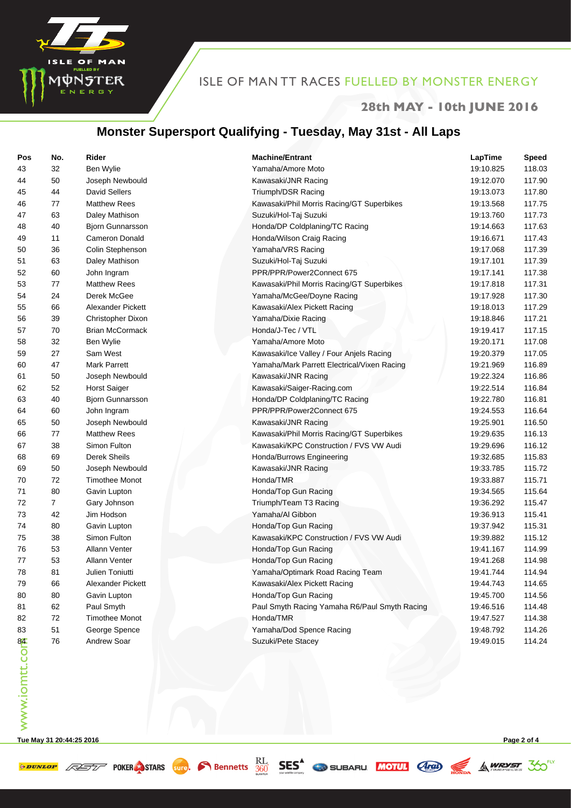

#### **28th MAY - 10th JUNE 2016**

## **Monster Supersport Qualifying - Tuesday, May 31st - All Laps**

| Pos           | No. | Rider                    | <b>Machine/Entrant</b>                        | LapTime   | <b>Speed</b> |
|---------------|-----|--------------------------|-----------------------------------------------|-----------|--------------|
| 43            | 32  | Ben Wylie                | Yamaha/Amore Moto                             | 19:10.825 | 118.03       |
| 44            | 50  | Joseph Newbould          | Kawasaki/JNR Racing                           | 19:12.070 | 117.90       |
| 45            | 44  | <b>David Sellers</b>     | Triumph/DSR Racing                            | 19:13.073 | 117.80       |
| 46            | 77  | <b>Matthew Rees</b>      | Kawasaki/Phil Morris Racing/GT Superbikes     | 19:13.568 | 117.75       |
| 47            | 63  | Daley Mathison           | Suzuki/Hol-Taj Suzuki                         | 19:13.760 | 117.73       |
| 48            | 40  | <b>Bjorn Gunnarsson</b>  | Honda/DP Coldplaning/TC Racing                | 19:14.663 | 117.63       |
| 49            | 11  | <b>Cameron Donald</b>    | Honda/Wilson Craig Racing                     | 19:16.671 | 117.43       |
| 50            | 36  | Colin Stephenson         | Yamaha/VRS Racing                             | 19:17.068 | 117.39       |
| 51            | 63  | Daley Mathison           | Suzuki/Hol-Taj Suzuki                         | 19:17.101 | 117.39       |
| 52            | 60  | John Ingram              | PPR/PPR/Power2Connect 675                     | 19:17.141 | 117.38       |
| 53            | 77  | <b>Matthew Rees</b>      | Kawasaki/Phil Morris Racing/GT Superbikes     | 19:17.818 | 117.31       |
| 54            | 24  | Derek McGee              | Yamaha/McGee/Doyne Racing                     | 19:17.928 | 117.30       |
| 55            | 66  | <b>Alexander Pickett</b> | Kawasaki/Alex Pickett Racing                  | 19:18.013 | 117.29       |
| 56            | 39  | <b>Christopher Dixon</b> | Yamaha/Dixie Racing                           | 19:18.846 | 117.21       |
| 57            | 70  | <b>Brian McCormack</b>   | Honda/J-Tec / VTL                             | 19:19.417 | 117.15       |
| 58            | 32  | Ben Wylie                | Yamaha/Amore Moto                             | 19:20.171 | 117.08       |
| 59            | 27  | Sam West                 | Kawasaki/Ice Valley / Four Anjels Racing      | 19:20.379 | 117.05       |
| 60            | 47  | Mark Parrett             | Yamaha/Mark Parrett Electrical/Vixen Racing   | 19:21.969 | 116.89       |
| 61            | 50  | Joseph Newbould          | Kawasaki/JNR Racing                           | 19:22.324 | 116.86       |
| 62            | 52  | <b>Horst Saiger</b>      | Kawasaki/Saiger-Racing.com                    | 19:22.514 | 116.84       |
| 63            | 40  | <b>Bjorn Gunnarsson</b>  | Honda/DP Coldplaning/TC Racing                | 19:22.780 | 116.81       |
| 64            | 60  | John Ingram              | PPR/PPR/Power2Connect 675                     | 19:24.553 | 116.64       |
| 65            | 50  | Joseph Newbould          | Kawasaki/JNR Racing                           | 19:25.901 | 116.50       |
| 66            | 77  | <b>Matthew Rees</b>      | Kawasaki/Phil Morris Racing/GT Superbikes     | 19:29.635 | 116.13       |
| 67            | 38  | Simon Fulton             | Kawasaki/KPC Construction / FVS VW Audi       | 19:29.696 | 116.12       |
| 68            | 69  | Derek Sheils             | Honda/Burrows Engineering                     | 19:32.685 | 115.83       |
| 69            | 50  | Joseph Newbould          | Kawasaki/JNR Racing                           | 19:33.785 | 115.72       |
| 70            | 72  | <b>Timothee Monot</b>    | Honda/TMR                                     | 19:33.887 | 115.71       |
| 71            | 80  | Gavin Lupton             | Honda/Top Gun Racing                          | 19:34.565 | 115.64       |
| 72            | 7   | Gary Johnson             | Triumph/Team T3 Racing                        | 19:36.292 | 115.47       |
| 73            | 42  | Jim Hodson               | Yamaha/Al Gibbon                              | 19:36.913 | 115.41       |
| 74            | 80  | Gavin Lupton             | Honda/Top Gun Racing                          | 19:37.942 | 115.31       |
| 75            | 38  | Simon Fulton             | Kawasaki/KPC Construction / FVS VW Audi       | 19:39.882 | 115.12       |
| 76            | 53  | <b>Allann Venter</b>     | Honda/Top Gun Racing                          | 19:41.167 | 114.99       |
| 77            | 53  | Allann Venter            | Honda/Top Gun Racing                          | 19:41.268 | 114.98       |
| 78            | 81  | Julien Toniutti          | Yamaha/Optimark Road Racing Team              | 19:41.744 | 114.94       |
| 79            | 66  | Alexander Pickett        | Kawasaki/Alex Pickett Racing                  | 19:44.743 | 114.65       |
| 80            | 80  | Gavin Lupton             | Honda/Top Gun Racing                          | 19:45.700 | 114.56       |
| 81            | 62  | Paul Smyth               | Paul Smyth Racing Yamaha R6/Paul Smyth Racing | 19:46.516 | 114.48       |
| 82            | 72  | <b>Timothee Monot</b>    | Honda/TMR                                     | 19:47.527 | 114.38       |
| 83            | 51  | George Spence            | Yamaha/Dod Spence Racing                      | 19:48.792 | 114.26       |
| www.iomtt.com | 76  | Andrew Soar              | Suzuki/Pete Stacey                            | 19:49.015 | 114.24       |
|               |     |                          |                                               |           |              |

**Tue May 31 20:44:25 2016 Page 2 of 4**

**SPUNLOP ASSESS** POKER STARS **SUPP**. **C** Bennetts **SES** SES SUBARU MOTUL **ARD** SA WRYST 30<sup>EXT</sup>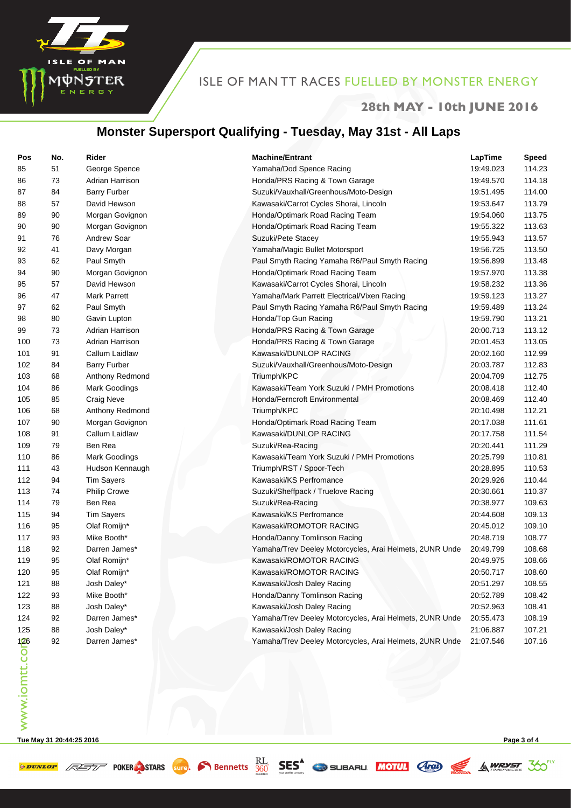

#### **28th MAY - 10th JUNE 2016**

## **Monster Supersport Qualifying - Tuesday, May 31st - All Laps**

| Pos                 | No. | Rider                  | <b>Machine/Entrant</b>                                  | LapTime   | <b>Speed</b> |
|---------------------|-----|------------------------|---------------------------------------------------------|-----------|--------------|
| 85                  | 51  | George Spence          | Yamaha/Dod Spence Racing                                | 19:49.023 | 114.23       |
| 86                  | 73  | Adrian Harrison        | Honda/PRS Racing & Town Garage                          | 19:49.570 | 114.18       |
| 87                  | 84  | <b>Barry Furber</b>    | Suzuki/Vauxhall/Greenhous/Moto-Design                   | 19:51.495 | 114.00       |
| 88                  | 57  | David Hewson           | Kawasaki/Carrot Cycles Shorai, Lincoln                  | 19:53.647 | 113.79       |
| 89                  | 90  | Morgan Govignon        | Honda/Optimark Road Racing Team                         | 19:54.060 | 113.75       |
| 90                  | 90  | Morgan Govignon        | Honda/Optimark Road Racing Team                         | 19:55.322 | 113.63       |
| 91                  | 76  | <b>Andrew Soar</b>     | Suzuki/Pete Stacey                                      | 19:55.943 | 113.57       |
| 92                  | 41  | Davy Morgan            | Yamaha/Magic Bullet Motorsport                          | 19:56.725 | 113.50       |
| 93                  | 62  | Paul Smyth             | Paul Smyth Racing Yamaha R6/Paul Smyth Racing           | 19:56.899 | 113.48       |
| 94                  | 90  | Morgan Govignon        | Honda/Optimark Road Racing Team                         | 19:57.970 | 113.38       |
| 95                  | 57  | David Hewson           | Kawasaki/Carrot Cycles Shorai, Lincoln                  | 19:58.232 | 113.36       |
| 96                  | 47  | <b>Mark Parrett</b>    | Yamaha/Mark Parrett Electrical/Vixen Racing             | 19:59.123 | 113.27       |
| 97                  | 62  | Paul Smyth             | Paul Smyth Racing Yamaha R6/Paul Smyth Racing           | 19:59.489 | 113.24       |
| 98                  | 80  | Gavin Lupton           | Honda/Top Gun Racing                                    | 19:59.790 | 113.21       |
| 99                  | 73  | Adrian Harrison        | Honda/PRS Racing & Town Garage                          | 20:00.713 | 113.12       |
| 100                 | 73  | <b>Adrian Harrison</b> | Honda/PRS Racing & Town Garage                          | 20:01.453 | 113.05       |
| 101                 | 91  | Callum Laidlaw         | Kawasaki/DUNLOP RACING                                  | 20:02.160 | 112.99       |
| 102                 | 84  | <b>Barry Furber</b>    | Suzuki/Vauxhall/Greenhous/Moto-Design                   | 20:03.787 | 112.83       |
| 103                 | 68  | Anthony Redmond        | Triumph/KPC                                             | 20:04.709 | 112.75       |
| 104                 | 86  | <b>Mark Goodings</b>   | Kawasaki/Team York Suzuki / PMH Promotions              | 20:08.418 | 112.40       |
| 105                 | 85  | <b>Craig Neve</b>      | Honda/Ferncroft Environmental                           | 20:08.469 | 112.40       |
| 106                 | 68  | Anthony Redmond        | Triumph/KPC                                             | 20:10.498 | 112.21       |
| 107                 | 90  | Morgan Govignon        | Honda/Optimark Road Racing Team                         | 20:17.038 | 111.61       |
| 108                 | 91  | Callum Laidlaw         | Kawasaki/DUNLOP RACING                                  | 20:17.758 | 111.54       |
| 109                 | 79  | Ben Rea                | Suzuki/Rea-Racing                                       | 20:20.441 | 111.29       |
| 110                 | 86  | Mark Goodings          | Kawasaki/Team York Suzuki / PMH Promotions              | 20:25.799 | 110.81       |
| 111                 | 43  | Hudson Kennaugh        | Triumph/RST / Spoor-Tech                                | 20:28.895 | 110.53       |
| 112                 | 94  | <b>Tim Sayers</b>      | Kawasaki/KS Perfromance                                 | 20:29.926 | 110.44       |
| 113                 | 74  | <b>Philip Crowe</b>    | Suzuki/Sheffpack / Truelove Racing                      | 20:30.661 | 110.37       |
| 114                 | 79  | Ben Rea                | Suzuki/Rea-Racing                                       | 20:38.977 | 109.63       |
| 115                 | 94  | <b>Tim Sayers</b>      | Kawasaki/KS Perfromance                                 | 20:44.608 | 109.13       |
| 116                 | 95  | Olaf Romijn*           | Kawasaki/ROMOTOR RACING                                 | 20:45.012 | 109.10       |
| 117                 | 93  | Mike Booth*            | Honda/Danny Tomlinson Racing                            | 20:48.719 | 108.77       |
| 118                 | 92  | Darren James*          | Yamaha/Trev Deeley Motorcycles, Arai Helmets, 2UNR Unde | 20:49.799 | 108.68       |
| 119                 | 95  | Olaf Romijn*           | Kawasaki/ROMOTOR RACING                                 | 20:49.975 | 108.66       |
| 120                 | 95  | Olaf Romijn*           | Kawasaki/ROMOTOR RACING                                 | 20:50.717 | 108.60       |
| 121                 | 88  | Josh Daley*            | Kawasaki/Josh Daley Racing                              | 20:51.297 | 108.55       |
| 122                 | 93  | Mike Booth*            | Honda/Danny Tomlinson Racing                            | 20:52.789 | 108.42       |
| 123                 | 88  | Josh Daley*            | Kawasaki/Josh Daley Racing                              | 20:52.963 | 108.41       |
| 124                 | 92  | Darren James*          | Yamaha/Trev Deeley Motorcycles, Arai Helmets, 2UNR Unde | 20:55.473 | 108.19       |
| 125                 | 88  | Josh Daley*            | Kawasaki/Josh Daley Racing                              | 21:06.887 | 107.21       |
| 126<br>www.iomtt.co | 92  | Darren James*          | Yamaha/Trev Deeley Motorcycles, Arai Helmets, 2UNR Unde | 21:07.546 | 107.16       |
|                     |     |                        |                                                         |           |              |

**Tue May 31 20:44:25 2016 Page 3 of 4**

**SPUNLOP ASSESS** POKER STARS **SUPP**. **C** Bennetts **SES** SES SUBARU MOTUL **ARD** SA WRYST 30<sup>EXT</sup>